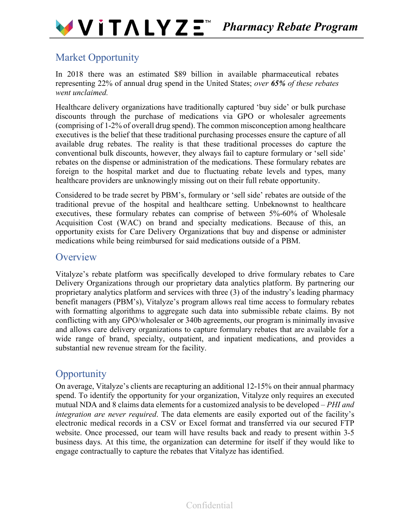

# Market Opportunity

In 2018 there was an estimated \$89 billion in available pharmaceutical rebates representing 22% of annual drug spend in the United States; *over 65% of these rebates went unclaimed.*

Healthcare delivery organizations have traditionally captured 'buy side' or bulk purchase discounts through the purchase of medications via GPO or wholesaler agreements (comprising of 1-2% of overall drug spend). The common misconception among healthcare executives is the belief that these traditional purchasing processes ensure the capture of all available drug rebates. The reality is that these traditional processes do capture the conventional bulk discounts, however, they always fail to capture formulary or 'sell side' rebates on the dispense or administration of the medications. These formulary rebates are foreign to the hospital market and due to fluctuating rebate levels and types, many healthcare providers are unknowingly missing out on their full rebate opportunity.

Considered to be trade secret by PBM's, formulary or 'sell side' rebates are outside of the traditional prevue of the hospital and healthcare setting. Unbeknownst to healthcare executives, these formulary rebates can comprise of between 5%-60% of Wholesale Acquisition Cost (WAC) on brand and specialty medications. Because of this, an opportunity exists for Care Delivery Organizations that buy and dispense or administer medications while being reimbursed for said medications outside of a PBM.

## **Overview**

Vitalyze's rebate platform was specifically developed to drive formulary rebates to Care Delivery Organizations through our proprietary data analytics platform. By partnering our proprietary analytics platform and services with three (3) of the industry's leading pharmacy benefit managers (PBM's), Vitalyze's program allows real time access to formulary rebates with formatting algorithms to aggregate such data into submissible rebate claims. By not conflicting with any GPO/wholesaler or 340b agreements, our program is minimally invasive and allows care delivery organizations to capture formulary rebates that are available for a wide range of brand, specialty, outpatient, and inpatient medications, and provides a substantial new revenue stream for the facility.

# **Opportunity**

On average, Vitalyze's clients are recapturing an additional 12-15% on their annual pharmacy spend. To identify the opportunity for your organization, Vitalyze only requires an executed mutual NDA and 8 claims data elements for a customized analysis to be developed – *PHI and integration are never required*. The data elements are easily exported out of the facility's electronic medical records in a CSV or Excel format and transferred via our secured FTP website. Once processed, our team will have results back and ready to present within 3-5 business days. At this time, the organization can determine for itself if they would like to engage contractually to capture the rebates that Vitalyze has identified.